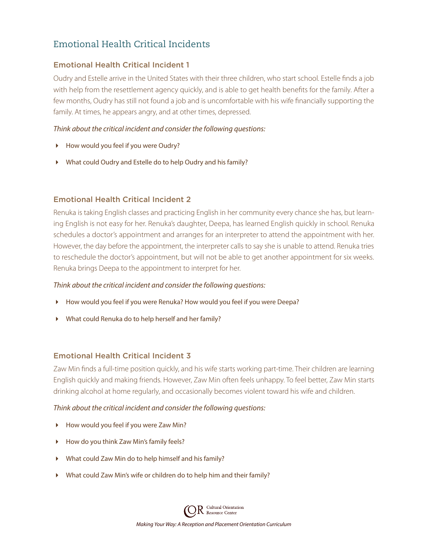# Emotional Health Critical Incidents

## Emotional Health Critical Incident 1

Oudry and Estelle arrive in the United States with their three children, who start school. Estelle finds a job with help from the resettlement agency quickly, and is able to get health benefits for the family. After a few months, Oudry has still not found a job and is uncomfortable with his wife financially supporting the family. At times, he appears angry, and at other times, depressed.

## *Think about the critical incident and consider the following questions:*

- How would you feel if you were Oudry?
- What could Oudry and Estelle do to help Oudry and his family?

### Emotional Health Critical Incident 2

Renuka is taking English classes and practicing English in her community every chance she has, but learning English is not easy for her. Renuka's daughter, Deepa, has learned English quickly in school. Renuka schedules a doctor's appointment and arranges for an interpreter to attend the appointment with her. However, the day before the appointment, the interpreter calls to say she is unable to attend. Renuka tries to reschedule the doctor's appointment, but will not be able to get another appointment for six weeks. Renuka brings Deepa to the appointment to interpret for her.

#### *Think about the critical incident and consider the following questions:*

- How would you feel if you were Renuka? How would you feel if you were Deepa?
- What could Renuka do to help herself and her family?

#### Emotional Health Critical Incident 3

Zaw Min finds a full-time position quickly, and his wife starts working part-time. Their children are learning English quickly and making friends. However, Zaw Min often feels unhappy. To feel better, Zaw Min starts drinking alcohol at home regularly, and occasionally becomes violent toward his wife and children.

#### *Think about the critical incident and consider the following questions:*

- How would you feel if you were Zaw Min?
- How do you think Zaw Min's family feels?
- What could Zaw Min do to help himself and his family?
- What could Zaw Min's wife or children do to help him and their family?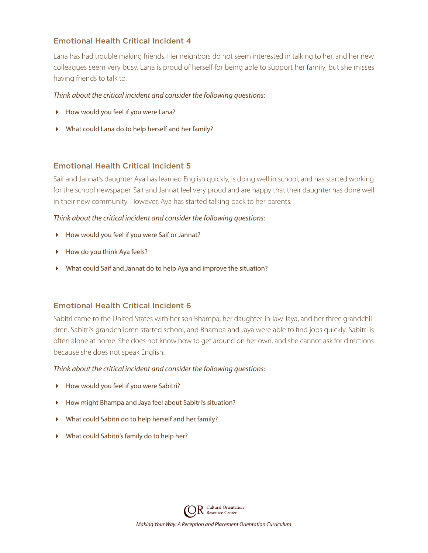#### Emotional Health Critical Incident 4

Lana has had trouble making friends. Her neighbors do not seem interested in talking to her, and her new colleagues seem very busy. Lana is proud of herself for being able to support her family, but she misses having friends to talk to.

#### *Think about the critical incident and consider the following questions:*

- How would you feel if you were Lana?
- What could Lana do to help herself and her family?

#### Emotional Health Critical Incident 5

Saif and Jannat's daughter Aya has learned English quickly, is doing well in school, and has started working for the school newspaper. Saif and Jannat feel very proud and are happy that their daughter has done well in their new community. However, Aya has started talking back to her parents.

#### *Think about the critical incident and consider the following questions:*

- How would you feel if you were Saif or Jannat?
- How do you think Aya feels?
- What could Saif and Jannat do to help Aya and improve the situation?

#### Emotional Health Critical Incident 6

Sabitri came to the United States with her son Bhampa, her daughter-in-law Jaya, and her three grandchildren. Sabitri's grandchildren started school, and Bhampa and Jaya were able to find jobs quickly. Sabitri is often alone at home. She does not know how to get around on her own, and she cannot ask for directions because she does not speak English.

#### *Think about the critical incident and consider the following questions:*

- How would you feel if you were Sabitri?
- How might Bhampa and Jaya feel about Sabitri's situation?
- What could Sabitri do to help herself and her family?
- What could Sabitri's family do to help her?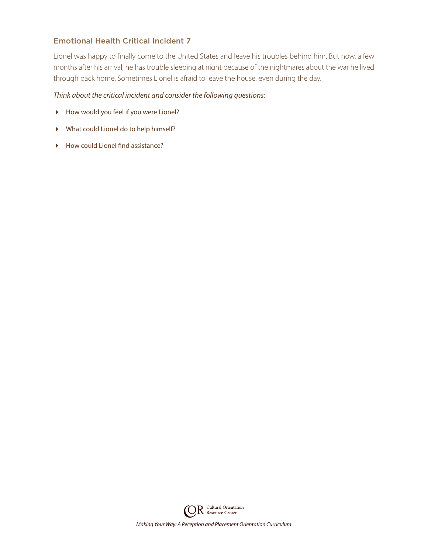## Emotional Health Critical Incident 7

Lionel was happy to finally come to the United States and leave his troubles behind him. But now, a few months after his arrival, he has trouble sleeping at night because of the nightmares about the war he lived through back home. Sometimes Lionel is afraid to leave the house, even during the day.

#### *Think about the critical incident and consider the following questions:*

- How would you feel if you were Lionel?
- What could Lionel do to help himself?
- ▶ How could Lionel find assistance?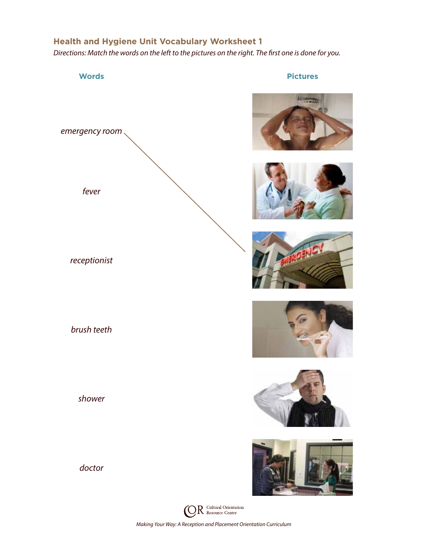## **Health and Hygiene Unit Vocabulary Worksheet 1**

*Directions: Match the words on the left to the pictures on the right. The first one is done for you.*















 $R$  Cultural Orientation (Ò *Making Your Way: A Reception and Placement Orientation Curriculum*